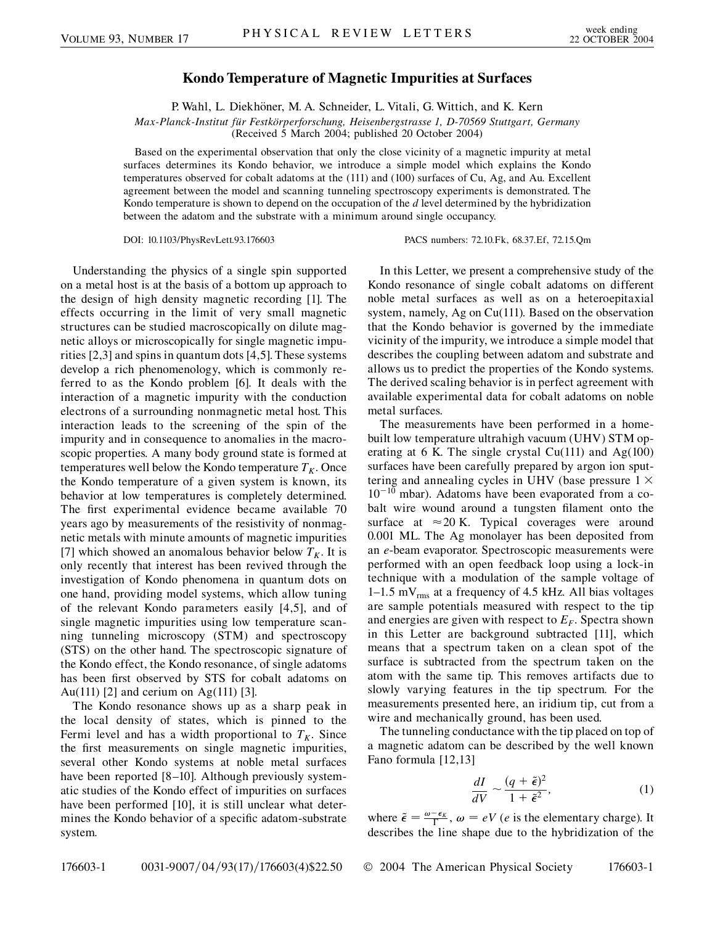## **Kondo Temperature of Magnetic Impurities at Surfaces**

P. Wahl, L. Diekhöner, M. A. Schneider, L. Vitali, G. Wittich, and K. Kern

*Max-Planck-Institut fu¨r Festko¨rperforschung, Heisenbergstrasse 1, D-70569 Stuttgart, Germany*

(Received 5 March 2004; published 20 October 2004)

Based on the experimental observation that only the close vicinity of a magnetic impurity at metal surfaces determines its Kondo behavior, we introduce a simple model which explains the Kondo temperatures observed for cobalt adatoms at the (111) and (100) surfaces of Cu, Ag, and Au. Excellent agreement between the model and scanning tunneling spectroscopy experiments is demonstrated. The Kondo temperature is shown to depend on the occupation of the *d* level determined by the hybridization between the adatom and the substrate with a minimum around single occupancy.

DOI: 10.1103/PhysRevLett.93.176603 PACS numbers: 72.10.Fk, 68.37.Ef, 72.15.Qm

Understanding the physics of a single spin supported on a metal host is at the basis of a bottom up approach to the design of high density magnetic recording [1]. The effects occurring in the limit of very small magnetic structures can be studied macroscopically on dilute magnetic alloys or microscopically for single magnetic impurities [2,3] and spins in quantum dots [4,5]. These systems develop a rich phenomenology, which is commonly referred to as the Kondo problem [6]. It deals with the interaction of a magnetic impurity with the conduction electrons of a surrounding nonmagnetic metal host. This interaction leads to the screening of the spin of the impurity and in consequence to anomalies in the macroscopic properties. A many body ground state is formed at temperatures well below the Kondo temperature  $T_K$ . Once the Kondo temperature of a given system is known, its behavior at low temperatures is completely determined. The first experimental evidence became available 70 years ago by measurements of the resistivity of nonmagnetic metals with minute amounts of magnetic impurities [7] which showed an anomalous behavior below  $T_K$ . It is only recently that interest has been revived through the investigation of Kondo phenomena in quantum dots on one hand, providing model systems, which allow tuning of the relevant Kondo parameters easily [4,5], and of single magnetic impurities using low temperature scanning tunneling microscopy (STM) and spectroscopy (STS) on the other hand. The spectroscopic signature of the Kondo effect, the Kondo resonance, of single adatoms has been first observed by STS for cobalt adatoms on Au(111) [2] and cerium on Ag(111) [3].

The Kondo resonance shows up as a sharp peak in the local density of states, which is pinned to the Fermi level and has a width proportional to  $T_K$ . Since the first measurements on single magnetic impurities, several other Kondo systems at noble metal surfaces have been reported [8–10]. Although previously systematic studies of the Kondo effect of impurities on surfaces have been performed [10], it is still unclear what determines the Kondo behavior of a specific adatom-substrate system.

In this Letter, we present a comprehensive study of the Kondo resonance of single cobalt adatoms on different noble metal surfaces as well as on a heteroepitaxial system, namely, Ag on Cu(111). Based on the observation that the Kondo behavior is governed by the immediate vicinity of the impurity, we introduce a simple model that describes the coupling between adatom and substrate and allows us to predict the properties of the Kondo systems. The derived scaling behavior is in perfect agreement with available experimental data for cobalt adatoms on noble metal surfaces.

The measurements have been performed in a homebuilt low temperature ultrahigh vacuum (UHV) STM operating at 6 K. The single crystal  $Cu(111)$  and  $Ag(100)$ surfaces have been carefully prepared by argon ion sputtering and annealing cycles in UHV (base pressure  $1 \times$  $10^{-10}$  mbar). Adatoms have been evaporated from a cobalt wire wound around a tungsten filament onto the surface at  $\approx 20$  K. Typical coverages were around 0.001 ML. The Ag monolayer has been deposited from an *e*-beam evaporator. Spectroscopic measurements were performed with an open feedback loop using a lock-in technique with a modulation of the sample voltage of 1–1.5 mV<sub>rms</sub> at a frequency of 4.5 kHz. All bias voltages are sample potentials measured with respect to the tip and energies are given with respect to  $E_F$ . Spectra shown in this Letter are background subtracted [11], which means that a spectrum taken on a clean spot of the surface is subtracted from the spectrum taken on the atom with the same tip. This removes artifacts due to slowly varying features in the tip spectrum. For the measurements presented here, an iridium tip, cut from a wire and mechanically ground, has been used.

The tunneling conductance with the tip placed on top of a magnetic adatom can be described by the well known Fano formula [12,13]

$$
\frac{dI}{dV} \sim \frac{(q+\tilde{\epsilon})^2}{1+\tilde{\epsilon}^2},\tag{1}
$$

where  $\tilde{\epsilon} = \frac{\omega - \epsilon_K}{\Gamma}$ ,  $\omega = eV$  (*e* is the elementary charge). It describes the line shape due to the hybridization of the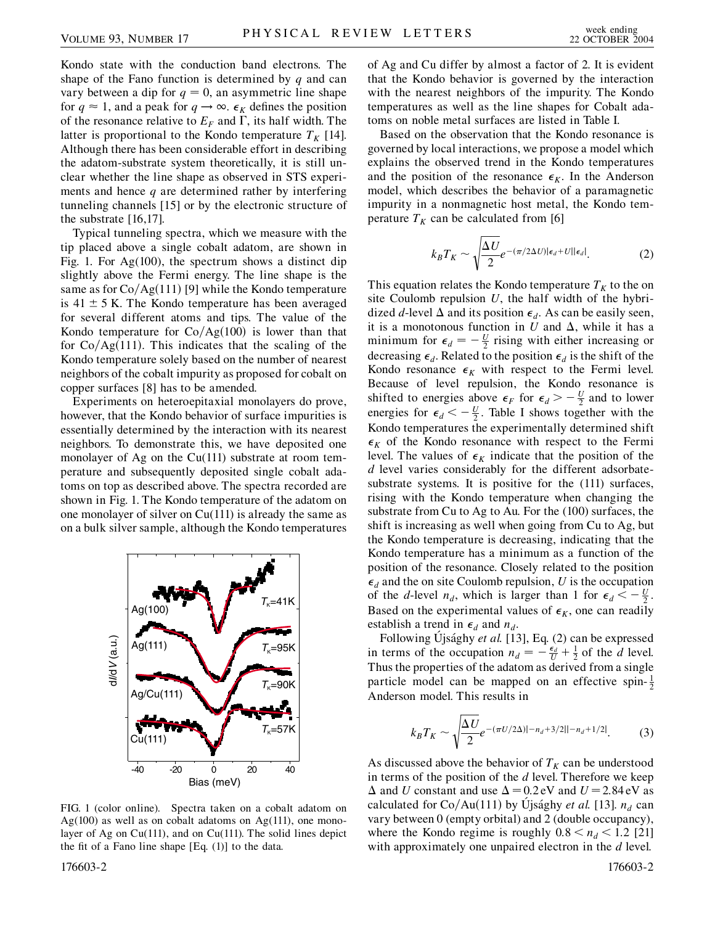Kondo state with the conduction band electrons. The shape of the Fano function is determined by *q* and can vary between a dip for  $q = 0$ , an asymmetric line shape for  $q \approx 1$ , and a peak for  $q \rightarrow \infty$ .  $\epsilon_K$  defines the position of the resonance relative to  $E_F$  and  $\Gamma$ , its half width. The latter is proportional to the Kondo temperature  $T_K$  [14]. Although there has been considerable effort in describing the adatom-substrate system theoretically, it is still unclear whether the line shape as observed in STS experiments and hence *q* are determined rather by interfering tunneling channels [15] or by the electronic structure of the substrate [16,17].

Typical tunneling spectra, which we measure with the tip placed above a single cobalt adatom, are shown in Fig. 1. For Ag(100), the spectrum shows a distinct dip slightly above the Fermi energy. The line shape is the same as for  $Co/Ag(111)$  [9] while the Kondo temperature is  $41 \pm 5$  K. The Kondo temperature has been averaged for several different atoms and tips. The value of the Kondo temperature for  $Co/Ag(100)$  is lower than that for  $Co/Ag(111)$ . This indicates that the scaling of the Kondo temperature solely based on the number of nearest neighbors of the cobalt impurity as proposed for cobalt on copper surfaces [8] has to be amended.

Experiments on heteroepitaxial monolayers do prove, however, that the Kondo behavior of surface impurities is essentially determined by the interaction with its nearest neighbors. To demonstrate this, we have deposited one monolayer of Ag on the Cu(111) substrate at room temperature and subsequently deposited single cobalt adatoms on top as described above. The spectra recorded are shown in Fig. 1. The Kondo temperature of the adatom on one monolayer of silver on Cu(111) is already the same as on a bulk silver sample, although the Kondo temperatures



FIG. 1 (color online). Spectra taken on a cobalt adatom on Ag(100) as well as on cobalt adatoms on Ag(111), one monolayer of Ag on Cu(111), and on Cu(111). The solid lines depict the fit of a Fano line shape [Eq. (1)] to the data.

of Ag and Cu differ by almost a factor of 2. It is evident that the Kondo behavior is governed by the interaction with the nearest neighbors of the impurity. The Kondo temperatures as well as the line shapes for Cobalt adatoms on noble metal surfaces are listed in Table I.

Based on the observation that the Kondo resonance is governed by local interactions, we propose a model which explains the observed trend in the Kondo temperatures and the position of the resonance  $\epsilon_K$ . In the Anderson model, which describes the behavior of a paramagnetic impurity in a nonmagnetic host metal, the Kondo temperature  $T_K$  can be calculated from [6]

$$
k_B T_K \sim \sqrt{\frac{\Delta U}{2}} e^{-(\pi/2\Delta U)|\epsilon_d + U||\epsilon_d|}.
$$
 (2)

This equation relates the Kondo temperature  $T_K$  to the on site Coulomb repulsion *U*, the half width of the hybridized *d*-level  $\Delta$  and its position  $\epsilon_d$ . As can be easily seen, it is a monotonous function in  $U$  and  $\Delta$ , while it has a minimum for  $\epsilon_d = -\frac{U}{2}$  rising with either increasing or decreasing  $\epsilon_d$ . Related to the position  $\epsilon_d$  is the shift of the Kondo resonance  $\epsilon_K$  with respect to the Fermi level. Because of level repulsion, the Kondo resonance is shifted to energies above  $\epsilon_F$  for  $\epsilon_d > -\frac{U}{2}$  and to lower energies for  $\epsilon_d < -\frac{U}{2}$ . Table I shows together with the Kondo temperatures the experimentally determined shift  $\epsilon_K$  of the Kondo resonance with respect to the Fermi level. The values of  $\epsilon_K$  indicate that the position of the *d* level varies considerably for the different adsorbatesubstrate systems. It is positive for the (111) surfaces, rising with the Kondo temperature when changing the substrate from Cu to Ag to Au. For the (100) surfaces, the shift is increasing as well when going from Cu to Ag, but the Kondo temperature is decreasing, indicating that the Kondo temperature has a minimum as a function of the position of the resonance. Closely related to the position  $\epsilon_d$  and the on site Coulomb repulsion, *U* is the occupation of the *d*-level  $n_d$ , which is larger than 1 for  $\epsilon_d < -\frac{U}{2}$ . Based on the experimental values of  $\epsilon_K$ , one can readily establish a trend in  $\epsilon_d$  and  $n_d$ .

Following Ujsághy *et al.* [13], Eq. (2) can be expressed in terms of the occupation  $n_d = -\frac{\epsilon_d}{U} + \frac{1}{2}$  of the *d* level. Thus the properties of the adatom as derived from a single particle model can be mapped on an effective spin- $\frac{1}{2}$ Anderson model. This results in

$$
k_B T_K \sim \sqrt{\frac{\Delta U}{2}} e^{-(\pi U/2\Delta)|-n_d+3/2||-n_d+1/2|}.\tag{3}
$$

As discussed above the behavior of  $T_K$  can be understood in terms of the position of the *d* level. Therefore we keep  $\Delta$  and *U* constant and use  $\Delta = 0.2$  eV and  $U = 2.84$  eV as calculated for  $Co/Au(111)$  by Ujsághy *et al.* [13].  $n_d$  can vary between 0 (empty orbital) and 2 (double occupancy), where the Kondo regime is roughly  $0.8 < n_d < 1.2$  [21] with approximately one unpaired electron in the *d* level.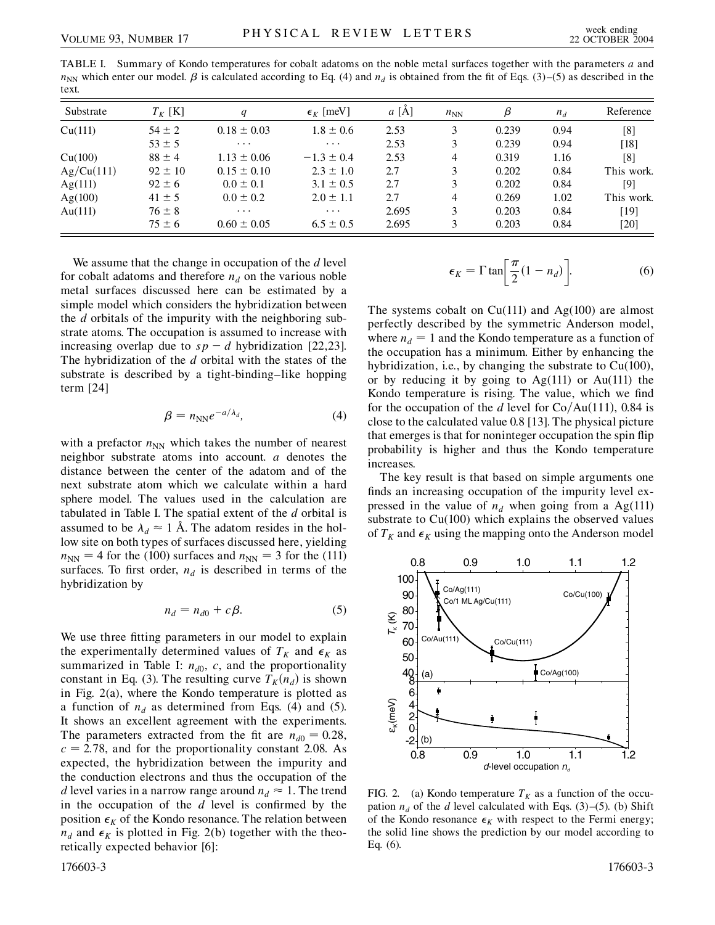TABLE I. Summary of Kondo temperatures for cobalt adatoms on the noble metal surfaces together with the parameters *a* and  $n_{NN}$  which enter our model.  $\beta$  is calculated according to Eq. (4) and  $n_d$  is obtained from the fit of Eqs. (3)–(5) as described in the text.

| Substrate  | $T_K$ [K]   | $\boldsymbol{q}$ | $\epsilon_K$ [meV] | a [A] | $n_{NN}$       | β     | $n_d$ | Reference  |
|------------|-------------|------------------|--------------------|-------|----------------|-------|-------|------------|
| Cu(111)    | $54 \pm 2$  | $0.18 \pm 0.03$  | $1.8 \pm 0.6$      | 2.53  | 3              | 0.239 | 0.94  | [8]        |
|            | $53 \pm 5$  | $\cdots$         | $\cdots$           | 2.53  | 3              | 0.239 | 0.94  | $[18]$     |
| Cu(100)    | $88 \pm 4$  | $1.13 \pm 0.06$  | $-1.3 \pm 0.4$     | 2.53  | 4              | 0.319 | 1.16  | [8]        |
| Ag/Cu(111) | $92 \pm 10$ | $0.15 \pm 0.10$  | $2.3 \pm 1.0$      | 2.7   | 3              | 0.202 | 0.84  | This work. |
| Ag(111)    | $92 \pm 6$  | $0.0 \pm 0.1$    | $3.1 \pm 0.5$      | 2.7   | 3              | 0.202 | 0.84  | [9]        |
| Ag(100)    | $41 \pm 5$  | $0.0 \pm 0.2$    | $2.0 \pm 1.1$      | 2.7   | $\overline{4}$ | 0.269 | 1.02  | This work. |
| Au $(111)$ | $76 \pm 8$  | $\cdots$         | $\cdots$           | 2.695 | 3              | 0.203 | 0.84  | [19]       |
|            | $75 \pm 6$  | $0.60 \pm 0.05$  | $6.5 \pm 0.5$      | 2.695 | 3              | 0.203 | 0.84  | $[20]$     |

We assume that the change in occupation of the *d* level for cobalt adatoms and therefore  $n_d$  on the various noble metal surfaces discussed here can be estimated by a simple model which considers the hybridization between the *d* orbitals of the impurity with the neighboring substrate atoms. The occupation is assumed to increase with increasing overlap due to  $sp - d$  hybridization [22,23]. The hybridization of the *d* orbital with the states of the substrate is described by a tight-binding–like hopping term [24]

$$
\beta = n_{NN} e^{-a/\lambda_d}, \qquad (4)
$$

with a prefactor  $n_{NN}$  which takes the number of nearest neighbor substrate atoms into account. *a* denotes the distance between the center of the adatom and of the next substrate atom which we calculate within a hard sphere model. The values used in the calculation are tabulated in Table I. The spatial extent of the *d* orbital is assumed to be  $\lambda_d \approx 1$  Å. The adatom resides in the hollow site on both types of surfaces discussed here, yielding  $n_{NN}$  = 4 for the (100) surfaces and  $n_{NN}$  = 3 for the (111) surfaces. To first order,  $n_d$  is described in terms of the hybridization by

$$
n_d = n_{d0} + c\beta. \tag{5}
$$

We use three fitting parameters in our model to explain the experimentally determined values of  $T_K$  and  $\epsilon_K$  as summarized in Table I:  $n_{d0}$ , *c*, and the proportionality constant in Eq. (3). The resulting curve  $T_K(n_d)$  is shown in Fig. 2(a), where the Kondo temperature is plotted as a function of  $n_d$  as determined from Eqs. (4) and (5). It shows an excellent agreement with the experiments. The parameters extracted from the fit are  $n_{d0} = 0.28$ ,  $c = 2.78$ , and for the proportionality constant 2.08. As expected, the hybridization between the impurity and the conduction electrons and thus the occupation of the *d* level varies in a narrow range around  $n_d \approx 1$ . The trend in the occupation of the *d* level is confirmed by the position  $\epsilon_K$  of the Kondo resonance. The relation between  $n_d$  and  $\epsilon_K$  is plotted in Fig. 2(b) together with the theoretically expected behavior [6]:

$$
\epsilon_K = \Gamma \tan \left[ \frac{\pi}{2} (1 - n_d) \right]. \tag{6}
$$

The systems cobalt on  $Cu(111)$  and  $Ag(100)$  are almost perfectly described by the symmetric Anderson model, where  $n_d = 1$  and the Kondo temperature as a function of the occupation has a minimum. Either by enhancing the hybridization, i.e., by changing the substrate to Cu(100), or by reducing it by going to  $Ag(111)$  or  $Au(111)$  the Kondo temperature is rising. The value, which we find for the occupation of the *d* level for  $Co/Au(111)$ , 0.84 is close to the calculated value 0.8 [13]. The physical picture that emerges is that for noninteger occupation the spin flip probability is higher and thus the Kondo temperature increases.

The key result is that based on simple arguments one finds an increasing occupation of the impurity level expressed in the value of  $n_d$  when going from a Ag(111) substrate to Cu(100) which explains the observed values of  $T_K$  and  $\epsilon_K$  using the mapping onto the Anderson model



FIG. 2. (a) Kondo temperature  $T_K$  as a function of the occupation  $n_d$  of the *d* level calculated with Eqs. (3)–(5). (b) Shift of the Kondo resonance  $\epsilon_K$  with respect to the Fermi energy; the solid line shows the prediction by our model according to Eq. (6).